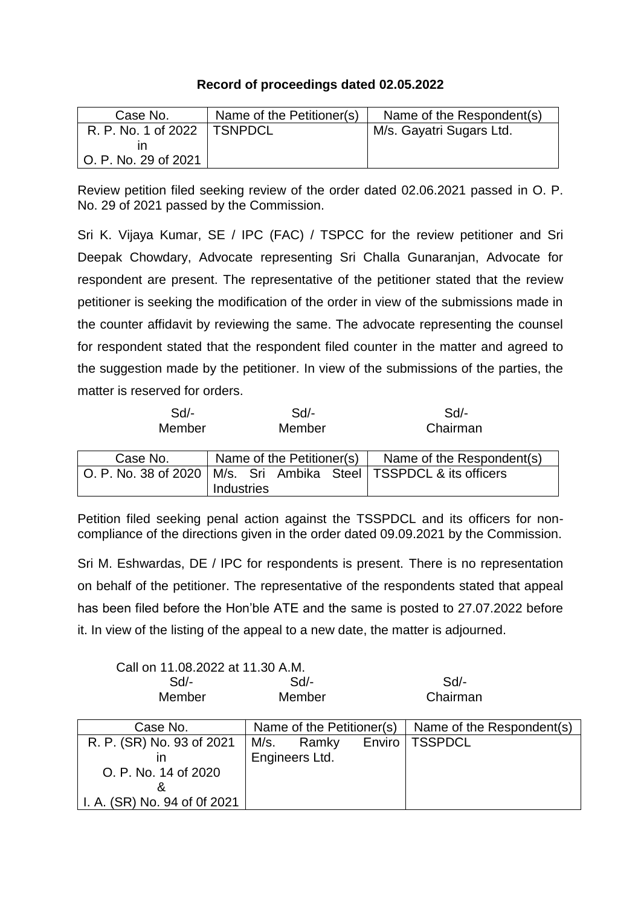## **Record of proceedings dated 02.05.2022**

| Case No.               | Name of the Petitioner(s) | Name of the Respondent(s) |
|------------------------|---------------------------|---------------------------|
| R. P. No. 1 of 2022    | <b>TSNPDCL</b>            | M/s. Gayatri Sugars Ltd.  |
|                        |                           |                           |
| l O. P. No. 29 of 2021 |                           |                           |

Review petition filed seeking review of the order dated 02.06.2021 passed in O. P. No. 29 of 2021 passed by the Commission.

Sri K. Vijaya Kumar, SE / IPC (FAC) / TSPCC for the review petitioner and Sri Deepak Chowdary, Advocate representing Sri Challa Gunaranjan, Advocate for respondent are present. The representative of the petitioner stated that the review petitioner is seeking the modification of the order in view of the submissions made in the counter affidavit by reviewing the same. The advocate representing the counsel for respondent stated that the respondent filed counter in the matter and agreed to the suggestion made by the petitioner. In view of the submissions of the parties, the matter is reserved for orders.

| $Sd$ -<br>Member | $Sd$ -<br>Member |                           |  |  | Sd<br>Chairman                                                        |
|------------------|------------------|---------------------------|--|--|-----------------------------------------------------------------------|
| Case No.         |                  | Name of the Petitioner(s) |  |  | Name of the Respondent(s)                                             |
|                  |                  |                           |  |  | O. P. No. 38 of 2020   M/s. Sri Ambika Steel   TSSPDCL & its officers |
|                  | Industries       |                           |  |  |                                                                       |

Petition filed seeking penal action against the TSSPDCL and its officers for noncompliance of the directions given in the order dated 09.09.2021 by the Commission.

Sri M. Eshwardas, DE / IPC for respondents is present. There is no representation on behalf of the petitioner. The representative of the respondents stated that appeal has been filed before the Hon'ble ATE and the same is posted to 27.07.2022 before it. In view of the listing of the appeal to a new date, the matter is adjourned.

|                              | Call on 11.08.2022 at 11.30 A.M. |        |                           |  |  |  |  |
|------------------------------|----------------------------------|--------|---------------------------|--|--|--|--|
| $Sd$ -                       | Sd                               |        | Sd                        |  |  |  |  |
| Member                       | Member                           |        | Chairman                  |  |  |  |  |
|                              |                                  |        |                           |  |  |  |  |
| Case No.                     | Name of the Petitioner(s)        |        | Name of the Respondent(s) |  |  |  |  |
| R. P. (SR) No. 93 of 2021    | M/s.<br>Ramky                    | Enviro | <b>TSSPDCL</b>            |  |  |  |  |
| ın                           | Engineers Ltd.                   |        |                           |  |  |  |  |
| O. P. No. 14 of 2020         |                                  |        |                           |  |  |  |  |
|                              |                                  |        |                           |  |  |  |  |
| I. A. (SR) No. 94 of 0f 2021 |                                  |        |                           |  |  |  |  |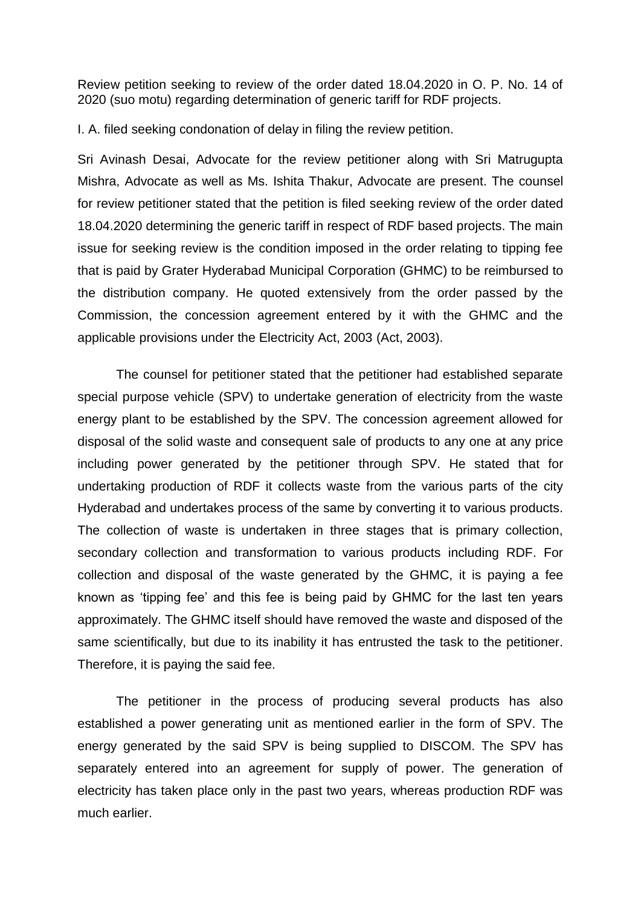Review petition seeking to review of the order dated 18.04.2020 in O. P. No. 14 of 2020 (suo motu) regarding determination of generic tariff for RDF projects.

I. A. filed seeking condonation of delay in filing the review petition.

Sri Avinash Desai, Advocate for the review petitioner along with Sri Matrugupta Mishra, Advocate as well as Ms. Ishita Thakur, Advocate are present. The counsel for review petitioner stated that the petition is filed seeking review of the order dated 18.04.2020 determining the generic tariff in respect of RDF based projects. The main issue for seeking review is the condition imposed in the order relating to tipping fee that is paid by Grater Hyderabad Municipal Corporation (GHMC) to be reimbursed to the distribution company. He quoted extensively from the order passed by the Commission, the concession agreement entered by it with the GHMC and the applicable provisions under the Electricity Act, 2003 (Act, 2003).

The counsel for petitioner stated that the petitioner had established separate special purpose vehicle (SPV) to undertake generation of electricity from the waste energy plant to be established by the SPV. The concession agreement allowed for disposal of the solid waste and consequent sale of products to any one at any price including power generated by the petitioner through SPV. He stated that for undertaking production of RDF it collects waste from the various parts of the city Hyderabad and undertakes process of the same by converting it to various products. The collection of waste is undertaken in three stages that is primary collection, secondary collection and transformation to various products including RDF. For collection and disposal of the waste generated by the GHMC, it is paying a fee known as 'tipping fee' and this fee is being paid by GHMC for the last ten years approximately. The GHMC itself should have removed the waste and disposed of the same scientifically, but due to its inability it has entrusted the task to the petitioner. Therefore, it is paying the said fee.

The petitioner in the process of producing several products has also established a power generating unit as mentioned earlier in the form of SPV. The energy generated by the said SPV is being supplied to DISCOM. The SPV has separately entered into an agreement for supply of power. The generation of electricity has taken place only in the past two years, whereas production RDF was much earlier.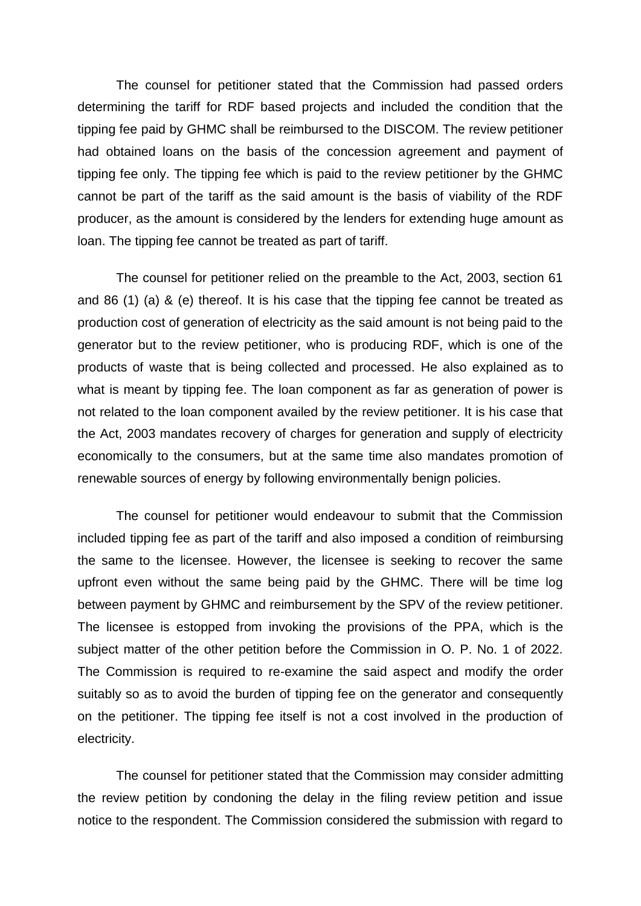The counsel for petitioner stated that the Commission had passed orders determining the tariff for RDF based projects and included the condition that the tipping fee paid by GHMC shall be reimbursed to the DISCOM. The review petitioner had obtained loans on the basis of the concession agreement and payment of tipping fee only. The tipping fee which is paid to the review petitioner by the GHMC cannot be part of the tariff as the said amount is the basis of viability of the RDF producer, as the amount is considered by the lenders for extending huge amount as loan. The tipping fee cannot be treated as part of tariff.

The counsel for petitioner relied on the preamble to the Act, 2003, section 61 and 86 (1) (a) & (e) thereof. It is his case that the tipping fee cannot be treated as production cost of generation of electricity as the said amount is not being paid to the generator but to the review petitioner, who is producing RDF, which is one of the products of waste that is being collected and processed. He also explained as to what is meant by tipping fee. The loan component as far as generation of power is not related to the loan component availed by the review petitioner. It is his case that the Act, 2003 mandates recovery of charges for generation and supply of electricity economically to the consumers, but at the same time also mandates promotion of renewable sources of energy by following environmentally benign policies.

The counsel for petitioner would endeavour to submit that the Commission included tipping fee as part of the tariff and also imposed a condition of reimbursing the same to the licensee. However, the licensee is seeking to recover the same upfront even without the same being paid by the GHMC. There will be time log between payment by GHMC and reimbursement by the SPV of the review petitioner. The licensee is estopped from invoking the provisions of the PPA, which is the subject matter of the other petition before the Commission in O. P. No. 1 of 2022. The Commission is required to re-examine the said aspect and modify the order suitably so as to avoid the burden of tipping fee on the generator and consequently on the petitioner. The tipping fee itself is not a cost involved in the production of electricity.

The counsel for petitioner stated that the Commission may consider admitting the review petition by condoning the delay in the filing review petition and issue notice to the respondent. The Commission considered the submission with regard to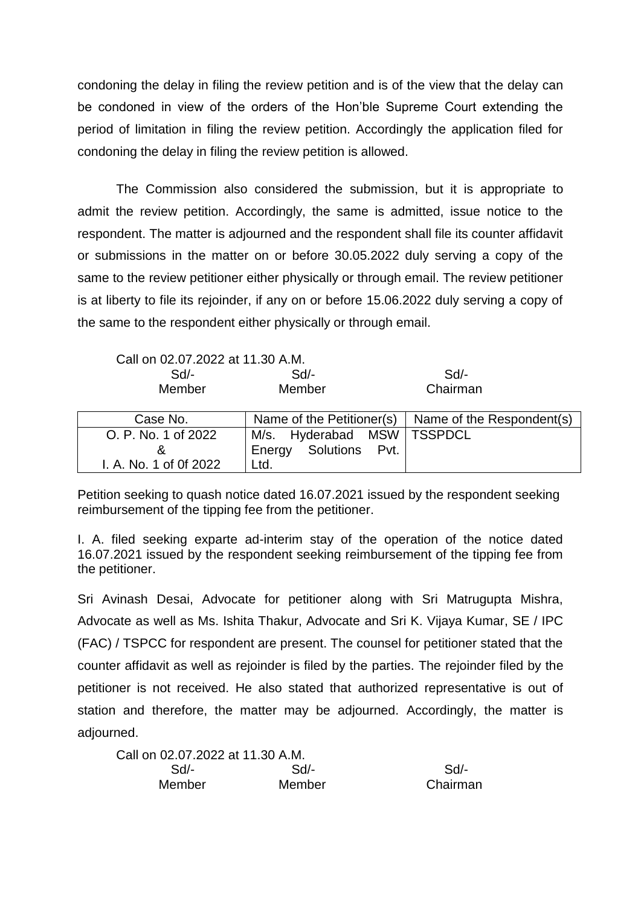condoning the delay in filing the review petition and is of the view that the delay can be condoned in view of the orders of the Hon'ble Supreme Court extending the period of limitation in filing the review petition. Accordingly the application filed for condoning the delay in filing the review petition is allowed.

The Commission also considered the submission, but it is appropriate to admit the review petition. Accordingly, the same is admitted, issue notice to the respondent. The matter is adjourned and the respondent shall file its counter affidavit or submissions in the matter on or before 30.05.2022 duly serving a copy of the same to the review petitioner either physically or through email. The review petitioner is at liberty to file its rejoinder, if any on or before 15.06.2022 duly serving a copy of the same to the respondent either physically or through email.

Call on 02.07.2022 at 11.30 A.M.

| Sd/-   | Sd/-   | Sd/-     |
|--------|--------|----------|
| Member | Member | Chairman |

| Case No.               |                              | Name of the Petitioner(s) $\vert$ Name of the Respondent(s) |
|------------------------|------------------------------|-------------------------------------------------------------|
| O. P. No. 1 of 2022    | M/s. Hyderabad MSW   TSSPDCL |                                                             |
|                        | Energy Solutions Pvt.        |                                                             |
| I. A. No. 1 of 0f 2022 | Ltd.                         |                                                             |

Petition seeking to quash notice dated 16.07.2021 issued by the respondent seeking reimbursement of the tipping fee from the petitioner.

I. A. filed seeking exparte ad-interim stay of the operation of the notice dated 16.07.2021 issued by the respondent seeking reimbursement of the tipping fee from the petitioner.

Sri Avinash Desai, Advocate for petitioner along with Sri Matrugupta Mishra, Advocate as well as Ms. Ishita Thakur, Advocate and Sri K. Vijaya Kumar, SE / IPC (FAC) / TSPCC for respondent are present. The counsel for petitioner stated that the counter affidavit as well as rejoinder is filed by the parties. The rejoinder filed by the petitioner is not received. He also stated that authorized representative is out of station and therefore, the matter may be adjourned. Accordingly, the matter is adjourned.

Call on 02.07.2022 at 11.30 A.M. Sd/- Sd/- Sd/- Member Member Chairman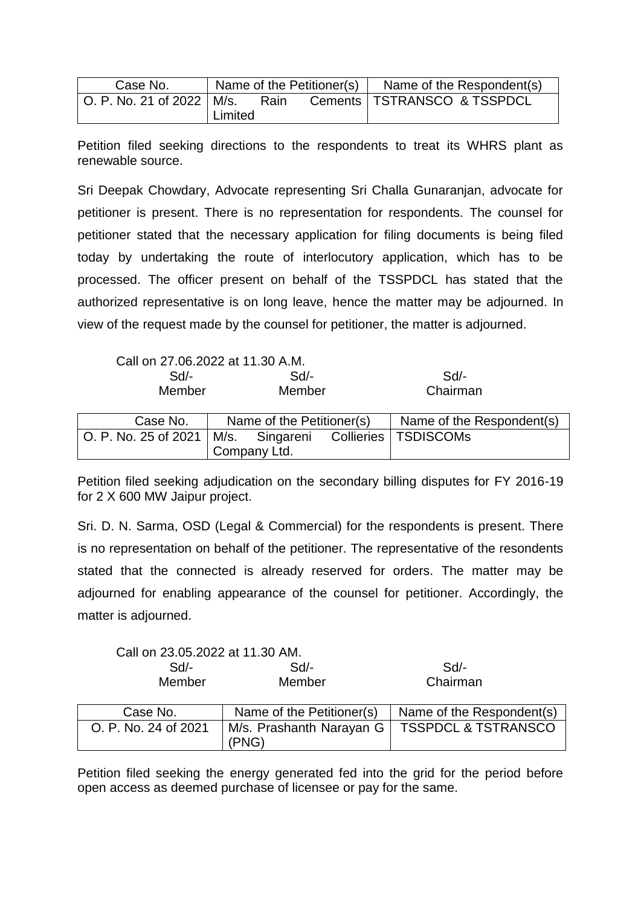| Case No.                      | Name of the Petitioner(s) |      |  | Name of the Respondent(s)     |
|-------------------------------|---------------------------|------|--|-------------------------------|
| │ O. P. No. 21 of 2022 │ M/s. |                           | Rain |  | Cements   TSTRANSCO & TSSPDCL |
|                               | Limited                   |      |  |                               |

Petition filed seeking directions to the respondents to treat its WHRS plant as renewable source.

Sri Deepak Chowdary, Advocate representing Sri Challa Gunaranjan, advocate for petitioner is present. There is no representation for respondents. The counsel for petitioner stated that the necessary application for filing documents is being filed today by undertaking the route of interlocutory application, which has to be processed. The officer present on behalf of the TSSPDCL has stated that the authorized representative is on long leave, hence the matter may be adjourned. In view of the request made by the counsel for petitioner, the matter is adjourned.

Call on 27.06.2022 at 11.30 A.M.

| Sd/-   | Sd/-   | Sd       |
|--------|--------|----------|
| Member | Member | Chairman |

| Case No.                                            | Name of the Petitioner(s) |  |  | $\vert$ Name of the Respondent(s) |
|-----------------------------------------------------|---------------------------|--|--|-----------------------------------|
| $\vert$ O. P. No. 25 of 2021 $\vert$ M/s. Singareni |                           |  |  | Collieries   TSDISCOMs            |
|                                                     | Company Ltd.              |  |  |                                   |

Petition filed seeking adjudication on the secondary billing disputes for FY 2016-19 for 2 X 600 MW Jaipur project.

Sri. D. N. Sarma, OSD (Legal & Commercial) for the respondents is present. There is no representation on behalf of the petitioner. The representative of the resondents stated that the connected is already reserved for orders. The matter may be adjourned for enabling appearance of the counsel for petitioner. Accordingly, the matter is adjourned.

| Call on 23.05.2022 at 11.30 AM. |        |          |
|---------------------------------|--------|----------|
| Sd/-                            | Sd     | $Sd/$ -  |
| Member                          | Member | Chairman |

| Case No.             | Name of the Petitioner(s) | Name of the Respondent(s)                      |
|----------------------|---------------------------|------------------------------------------------|
| O. P. No. 24 of 2021 | (PNG)                     | M/s. Prashanth Narayan G   TSSPDCL & TSTRANSCO |

Petition filed seeking the energy generated fed into the grid for the period before open access as deemed purchase of licensee or pay for the same.